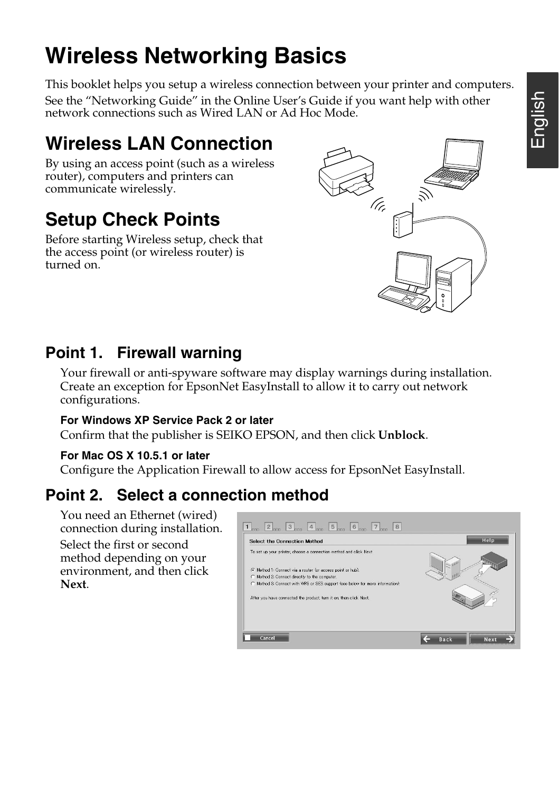# **Wireless Networking Basics**

This booklet helps you setup a wireless connection between your printer and computers. See the "Networking Guide" in the Online User's Guide if you want help with other network connections such as Wired LAN or Ad Hoc Mode.

## **Wireless LAN Connection**

By using an access point (such as a wireless router), computers and printers can communicate wirelessly.

# **Setup Check Points**

Before starting Wireless setup, check that the access point (or wireless router) is turned on.



#### **Point 1. Firewall warning**

Your firewall or anti-spyware software may display warnings during installation. Create an exception for EpsonNet EasyInstall to allow it to carry out network configurations.

#### **For Windows XP Service Pack 2 or later**

Confirm that the publisher is SEIKO EPSON, and then click **Unblock**.

#### **For Mac OS X 10.5.1 or later**

Configure the Application Firewall to allow access for EpsonNet EasyInstall.

#### **Point 2. Select a connection method**

You need an Ethernet (wired) connection during installation. Select the first or second method depending on your environment, and then click **Next**.

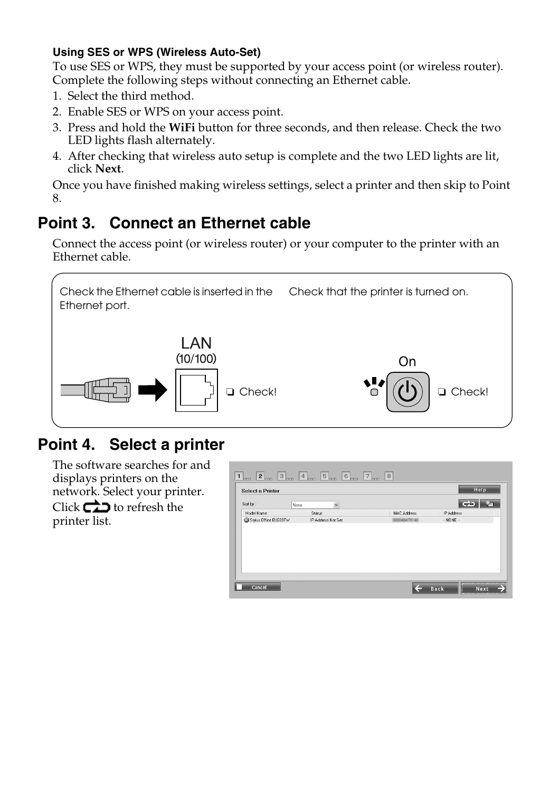#### **Using SES or WPS (Wireless Auto-Set)**

To use SES or WPS, they must be supported by your access point (or wireless router). Complete the following steps without connecting an Ethernet cable.

- 1. Select the third method.
- 2. Enable SES or WPS on your access point.
- 3. Press and hold the **WiFi** button for three seconds, and then release. Check the two LED lights flash alternately.
- 4. After checking that wireless auto setup is complete and the two LED lights are lit, click **Next**.

Once you have finished making wireless settings, select a printer and then skip to Point 8.

### **Point 3. Connect an Ethernet cable**

Connect the access point (or wireless router) or your computer to the printer with an Ethernet cable.



## **Point 4. Select a printer**

The software searches for and displays printers on the network. Select your printer. Click  $\bigoplus$  to refresh the printer list.

| Sort by:              | None    | $\check{}$         |              | $\rightarrow$ |  |
|-----------------------|---------|--------------------|--------------|---------------|--|
| Model Name            | Status: |                    | MAC Address  | IP Address    |  |
| Stylus Office BX600FW |         | IP Address Not Set | 000040470140 | $-$ NONE $-$  |  |
|                       |         |                    |              |               |  |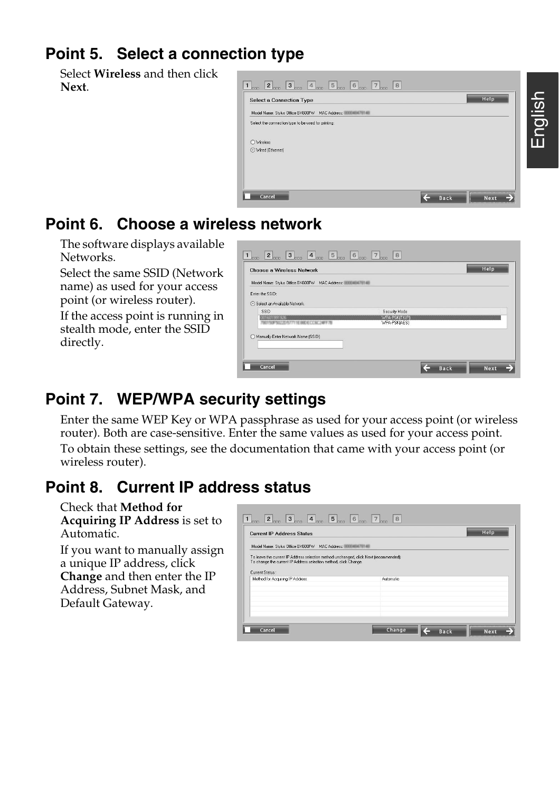#### **Point 5. Select a connection type**

Select **Wireless** and then click **Next**.

| Select the connection type to be used for printing: |  |  |
|-----------------------------------------------------|--|--|
|                                                     |  |  |
|                                                     |  |  |
|                                                     |  |  |
|                                                     |  |  |
|                                                     |  |  |

#### **Point 6. Choose a wireless network**

The software displays available Networks.

Select the same SSID (Network name) as used for your access point (or wireless router).

If the access point is running in stealth mode, enter the SSID directly.

| Model Name: Stylus Office BX600FW MAC Address: INTERNATIONAL |                               |  |
|--------------------------------------------------------------|-------------------------------|--|
| Enter the SSID:                                              |                               |  |
| Select an Available Network                                  |                               |  |
| SSID                                                         | Security Mode                 |  |
| 001601991926<br><b>KITROPHOLYKATTY 14 BW NUTTKI</b>          | WPA-PSKITKIPI<br>WPA-PSKIAESI |  |
|                                                              |                               |  |
| Manually Enter Network Name (SSID)                           |                               |  |

## **Point 7. WEP/WPA security settings**

Enter the same WEP Key or WPA passphrase as used for your access point (or wireless router). Both are case-sensitive. Enter the same values as used for your access point. To obtain these settings, see the documentation that came with your access point (or wireless router).

#### **Point 8. Current IP address status**

Check that **Method for Acquiring IP Address** is set to Automatic.

If you want to manually assign a unique IP address, click **Change** and then enter the IP Address, Subnet Mask, and Default Gateway.

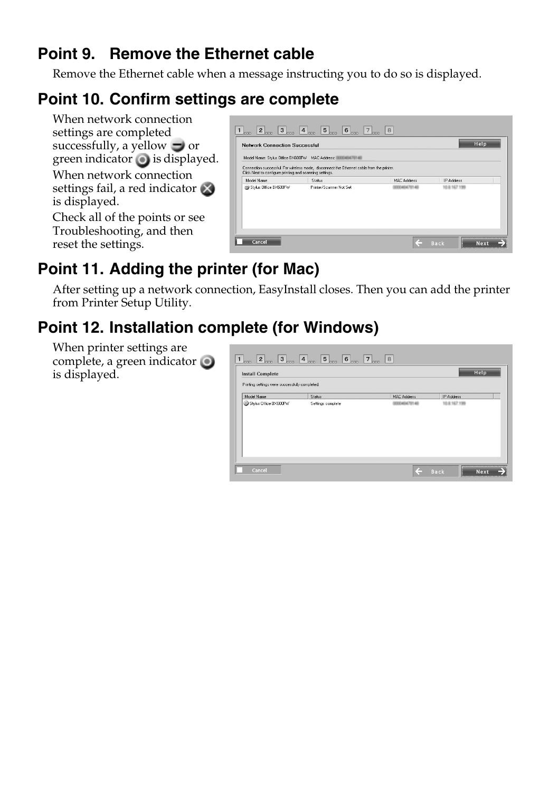#### **Point 9. Remove the Ethernet cable**

Remove the Ethernet cable when a message instructing you to do so is displayed.

### **Point 10. Confirm settings are complete**

When network connection settings are completed successfully, a yellow  $\Box$  or green indicator  $\bigcirc$  is displayed. When network connection settings fail, a red indicator is displayed. Check all of the points or see Troubleshooting, and then

reset the settings.



## **Point 11. Adding the printer (for Mac)**

After setting up a network connection, EasyInstall closes. Then you can add the printer from Printer Setup Utility.

## **Point 12. Installation complete (for Windows)**

When printer settings are complete, a green indicator is displayed.

| Printing settings were successfully completed. |               |             |            |
|------------------------------------------------|---------------|-------------|------------|
| Model Name                                     | <b>Status</b> | MAC Address | IP Address |
|                                                |               |             |            |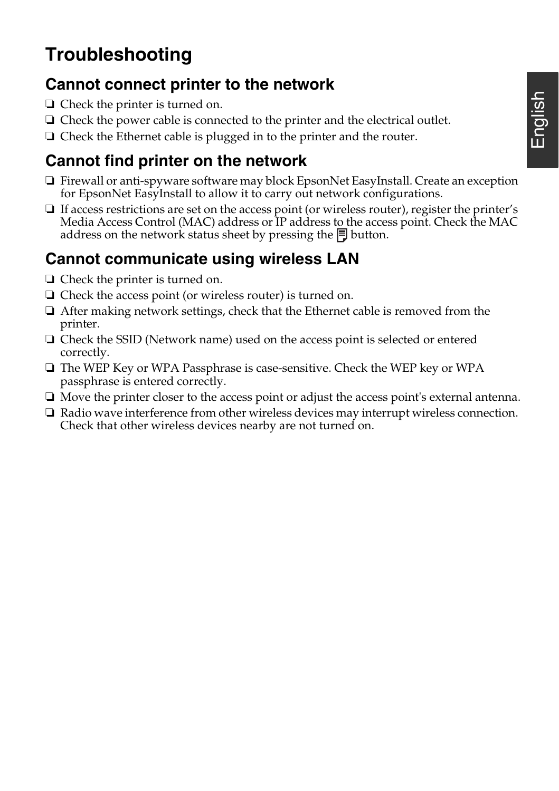# **Troubleshooting**

#### **Cannot connect printer to the network**

- ❏ Check the printer is turned on.
- ❏ Check the power cable is connected to the printer and the electrical outlet.
- ❏ Check the Ethernet cable is plugged in to the printer and the router.

## **Cannot find printer on the network**

- ❏ Firewall or anti-spyware software may block EpsonNet EasyInstall. Create an exception for EpsonNet EasyInstall to allow it to carry out network configurations.
- ❏ If access restrictions are set on the access point (or wireless router), register the printer's Media Access Control (MAC) address or IP address to the access point. Check the MAC address on the network status sheet by pressing the  $\Box$  button.

### **Cannot communicate using wireless LAN**

- ❏ Check the printer is turned on.
- ❏ Check the access point (or wireless router) is turned on.
- ❏ After making network settings, check that the Ethernet cable is removed from the printer.
- ❏ Check the SSID (Network name) used on the access point is selected or entered correctly.
- ❏ The WEP Key or WPA Passphrase is case-sensitive. Check the WEP key or WPA passphrase is entered correctly.
- ❏ Move the printer closer to the access point or adjust the access point's external antenna.
- ❏ Radio wave interference from other wireless devices may interrupt wireless connection. Check that other wireless devices nearby are not turned on.